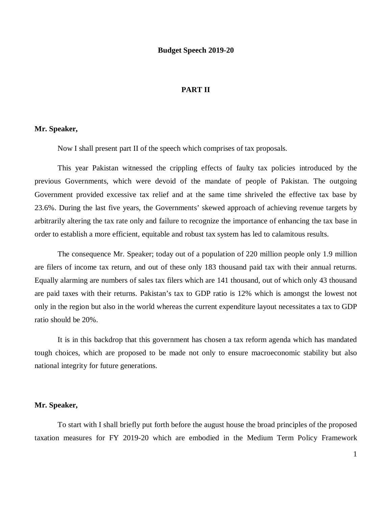#### **PART II**

#### **Mr. Speaker,**

Now I shall present part II of the speech which comprises of tax proposals.

This year Pakistan witnessed the crippling effects of faulty tax policies introduced by the previous Governments, which were devoid of the mandate of people of Pakistan. The outgoing Government provided excessive tax relief and at the same time shriveled the effective tax base by 23.6%. During the last five years, the Governments' skewed approach of achieving revenue targets by arbitrarily altering the tax rate only and failure to recognize the importance of enhancing the tax base in order to establish a more efficient, equitable and robust tax system has led to calamitous results.

The consequence Mr. Speaker; today out of a population of 220 million people only 1.9 million are filers of income tax return, and out of these only 183 thousand paid tax with their annual returns. Equally alarming are numbers of sales tax filers which are 141 thousand, out of which only 43 thousand are paid taxes with their returns. Pakistan's tax to GDP ratio is 12% which is amongst the lowest not only in the region but also in the world whereas the current expenditure layout necessitates a tax to GDP ratio should be 20%.

It is in this backdrop that this government has chosen a tax reform agenda which has mandated tough choices, which are proposed to be made not only to ensure macroeconomic stability but also national integrity for future generations.

#### **Mr. Speaker,**

To start with I shall briefly put forth before the august house the broad principles of the proposed taxation measures for FY 2019-20 which are embodied in the Medium Term Policy Framework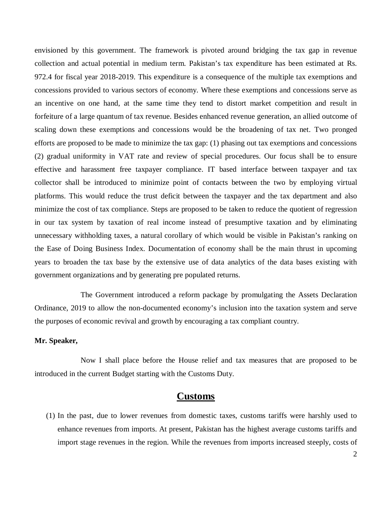envisioned by this government. The framework is pivoted around bridging the tax gap in revenue collection and actual potential in medium term. Pakistan's tax expenditure has been estimated at Rs. 972.4 for fiscal year 2018-2019. This expenditure is a consequence of the multiple tax exemptions and concessions provided to various sectors of economy. Where these exemptions and concessions serve as an incentive on one hand, at the same time they tend to distort market competition and result in forfeiture of a large quantum of tax revenue. Besides enhanced revenue generation, an allied outcome of scaling down these exemptions and concessions would be the broadening of tax net. Two pronged efforts are proposed to be made to minimize the tax gap: (1) phasing out tax exemptions and concessions (2) gradual uniformity in VAT rate and review of special procedures. Our focus shall be to ensure effective and harassment free taxpayer compliance. IT based interface between taxpayer and tax collector shall be introduced to minimize point of contacts between the two by employing virtual platforms. This would reduce the trust deficit between the taxpayer and the tax department and also minimize the cost of tax compliance. Steps are proposed to be taken to reduce the quotient of regression in our tax system by taxation of real income instead of presumptive taxation and by eliminating unnecessary withholding taxes, a natural corollary of which would be visible in Pakistan's ranking on the Ease of Doing Business Index. Documentation of economy shall be the main thrust in upcoming years to broaden the tax base by the extensive use of data analytics of the data bases existing with government organizations and by generating pre populated returns.

The Government introduced a reform package by promulgating the Assets Declaration Ordinance, 2019 to allow the non-documented economy's inclusion into the taxation system and serve the purposes of economic revival and growth by encouraging a tax compliant country.

#### **Mr. Speaker,**

Now I shall place before the House relief and tax measures that are proposed to be introduced in the current Budget starting with the Customs Duty.

## **Customs**

(1) In the past, due to lower revenues from domestic taxes, customs tariffs were harshly used to enhance revenues from imports. At present, Pakistan has the highest average customs tariffs and import stage revenues in the region. While the revenues from imports increased steeply, costs of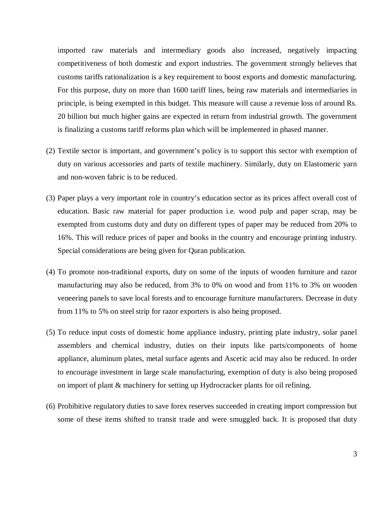imported raw materials and intermediary goods also increased, negatively impacting competitiveness of both domestic and export industries. The government strongly believes that customs tariffs rationalization is a key requirement to boost exports and domestic manufacturing. For this purpose, duty on more than 1600 tariff lines, being raw materials and intermediaries in principle, is being exempted in this budget. This measure will cause a revenue loss of around Rs. 20 billion but much higher gains are expected in return from industrial growth. The government is finalizing a customs tariff reforms plan which will be implemented in phased manner.

- (2) Textile sector is important, and government's policy is to support this sector with exemption of duty on various accessories and parts of textile machinery. Similarly, duty on Elastomeric yarn and non-woven fabric is to be reduced.
- (3) Paper plays a very important role in country's education sector as its prices affect overall cost of education. Basic raw material for paper production i.e. wood pulp and paper scrap, may be exempted from customs duty and duty on different types of paper may be reduced from 20% to 16%. This will reduce prices of paper and books in the country and encourage printing industry. Special considerations are being given for Quran publication.
- (4) To promote non-traditional exports, duty on some of the inputs of wooden furniture and razor manufacturing may also be reduced, from 3% to 0% on wood and from 11% to 3% on wooden veneering panels to save local forests and to encourage furniture manufacturers. Decrease in duty from 11% to 5% on steel strip for razor exporters is also being proposed.
- (5) To reduce input costs of domestic home appliance industry, printing plate industry, solar panel assemblers and chemical industry, duties on their inputs like parts/components of home appliance, aluminum plates, metal surface agents and Ascetic acid may also be reduced. In order to encourage investment in large scale manufacturing, exemption of duty is also being proposed on import of plant & machinery for setting up Hydrocracker plants for oil refining.
- (6) Prohibitive regulatory duties to save forex reserves succeeded in creating import compression but some of these items shifted to transit trade and were smuggled back. It is proposed that duty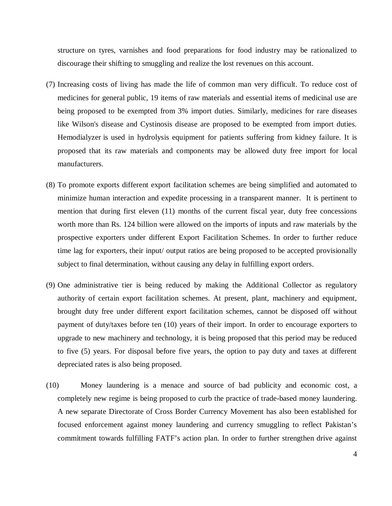structure on tyres, varnishes and food preparations for food industry may be rationalized to discourage their shifting to smuggling and realize the lost revenues on this account.

- (7) Increasing costs of living has made the life of common man very difficult. To reduce cost of medicines for general public, 19 items of raw materials and essential items of medicinal use are being proposed to be exempted from 3% import duties. Similarly, medicines for rare diseases like Wilson's disease and Cystinosis disease are proposed to be exempted from import duties. Hemodialyzer is used in hydrolysis equipment for patients suffering from kidney failure. It is proposed that its raw materials and components may be allowed duty free import for local manufacturers.
- (8) To promote exports different export facilitation schemes are being simplified and automated to minimize human interaction and expedite processing in a transparent manner. It is pertinent to mention that during first eleven (11) months of the current fiscal year, duty free concessions worth more than Rs. 124 billion were allowed on the imports of inputs and raw materials by the prospective exporters under different Export Facilitation Schemes. In order to further reduce time lag for exporters, their input/ output ratios are being proposed to be accepted provisionally subject to final determination, without causing any delay in fulfilling export orders.
- (9) One administrative tier is being reduced by making the Additional Collector as regulatory authority of certain export facilitation schemes. At present, plant, machinery and equipment, brought duty free under different export facilitation schemes, cannot be disposed off without payment of duty/taxes before ten (10) years of their import. In order to encourage exporters to upgrade to new machinery and technology, it is being proposed that this period may be reduced to five (5) years. For disposal before five years, the option to pay duty and taxes at different depreciated rates is also being proposed.
- (10) Money laundering is a menace and source of bad publicity and economic cost, a completely new regime is being proposed to curb the practice of trade-based money laundering. A new separate Directorate of Cross Border Currency Movement has also been established for focused enforcement against money laundering and currency smuggling to reflect Pakistan's commitment towards fulfilling FATF's action plan. In order to further strengthen drive against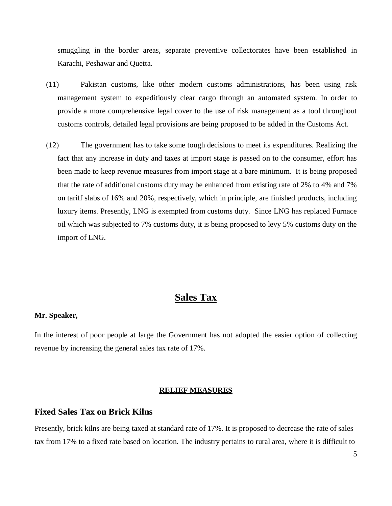smuggling in the border areas, separate preventive collectorates have been established in Karachi, Peshawar and Quetta.

- (11) Pakistan customs, like other modern customs administrations, has been using risk management system to expeditiously clear cargo through an automated system. In order to provide a more comprehensive legal cover to the use of risk management as a tool throughout customs controls, detailed legal provisions are being proposed to be added in the Customs Act.
- (12) The government has to take some tough decisions to meet its expenditures. Realizing the fact that any increase in duty and taxes at import stage is passed on to the consumer, effort has been made to keep revenue measures from import stage at a bare minimum. It is being proposed that the rate of additional customs duty may be enhanced from existing rate of 2% to 4% and 7% on tariff slabs of 16% and 20%, respectively, which in principle, are finished products, including luxury items. Presently, LNG is exempted from customs duty. Since LNG has replaced Furnace oil which was subjected to 7% customs duty, it is being proposed to levy 5% customs duty on the import of LNG.

# **Sales Tax**

#### **Mr. Speaker,**

In the interest of poor people at large the Government has not adopted the easier option of collecting revenue by increasing the general sales tax rate of 17%.

#### **RELIEF MEASURES**

#### **Fixed Sales Tax on Brick Kilns**

Presently, brick kilns are being taxed at standard rate of 17%. It is proposed to decrease the rate of sales tax from 17% to a fixed rate based on location. The industry pertains to rural area, where it is difficult to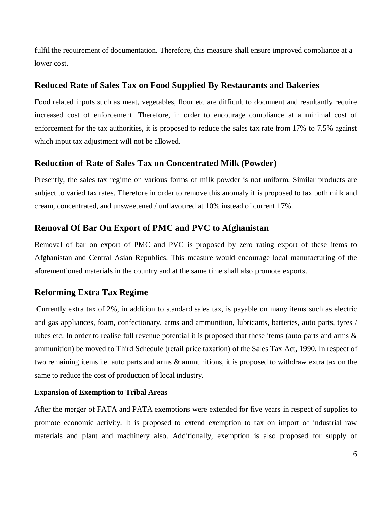fulfil the requirement of documentation. Therefore, this measure shall ensure improved compliance at a lower cost.

## **Reduced Rate of Sales Tax on Food Supplied By Restaurants and Bakeries**

Food related inputs such as meat, vegetables, flour etc are difficult to document and resultantly require increased cost of enforcement. Therefore, in order to encourage compliance at a minimal cost of enforcement for the tax authorities, it is proposed to reduce the sales tax rate from 17% to 7.5% against which input tax adjustment will not be allowed.

### **Reduction of Rate of Sales Tax on Concentrated Milk (Powder)**

Presently, the sales tax regime on various forms of milk powder is not uniform. Similar products are subject to varied tax rates. Therefore in order to remove this anomaly it is proposed to tax both milk and cream, concentrated, and unsweetened / unflavoured at 10% instead of current 17%.

# **Removal Of Bar On Export of PMC and PVC to Afghanistan**

Removal of bar on export of PMC and PVC is proposed by zero rating export of these items to Afghanistan and Central Asian Republics. This measure would encourage local manufacturing of the aforementioned materials in the country and at the same time shall also promote exports.

# **Reforming Extra Tax Regime**

Currently extra tax of 2%, in addition to standard sales tax, is payable on many items such as electric and gas appliances, foam, confectionary, arms and ammunition, lubricants, batteries, auto parts, tyres / tubes etc. In order to realise full revenue potential it is proposed that these items (auto parts and arms & ammunition) be moved to Third Schedule (retail price taxation) of the Sales Tax Act, 1990. In respect of two remaining items i.e. auto parts and arms & ammunitions, it is proposed to withdraw extra tax on the same to reduce the cost of production of local industry.

### **Expansion of Exemption to Tribal Areas**

After the merger of FATA and PATA exemptions were extended for five years in respect of supplies to promote economic activity. It is proposed to extend exemption to tax on import of industrial raw materials and plant and machinery also. Additionally, exemption is also proposed for supply of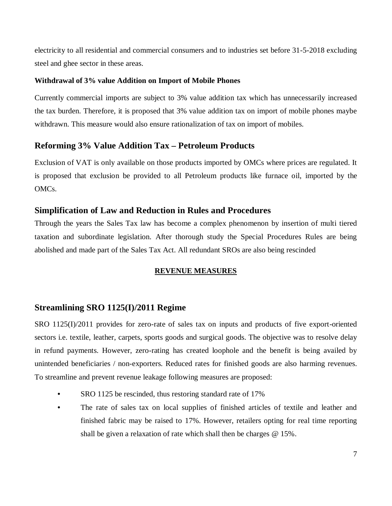electricity to all residential and commercial consumers and to industries set before 31-5-2018 excluding steel and ghee sector in these areas.

#### **Withdrawal of 3% value Addition on Import of Mobile Phones**

Currently commercial imports are subject to 3% value addition tax which has unnecessarily increased the tax burden. Therefore, it is proposed that 3% value addition tax on import of mobile phones maybe withdrawn. This measure would also ensure rationalization of tax on import of mobiles.

### **Reforming 3% Value Addition Tax – Petroleum Products**

Exclusion of VAT is only available on those products imported by OMCs where prices are regulated. It is proposed that exclusion be provided to all Petroleum products like furnace oil, imported by the OMCs.

### **Simplification of Law and Reduction in Rules and Procedures**

Through the years the Sales Tax law has become a complex phenomenon by insertion of multi tiered taxation and subordinate legislation. After thorough study the Special Procedures Rules are being abolished and made part of the Sales Tax Act. All redundant SROs are also being rescinded

#### **REVENUE MEASURES**

### **Streamlining SRO 1125(I)/2011 Regime**

SRO 1125(I)/2011 provides for zero-rate of sales tax on inputs and products of five export-oriented sectors i.e. textile, leather, carpets, sports goods and surgical goods. The objective was to resolve delay in refund payments. However, zero-rating has created loophole and the benefit is being availed by unintended beneficiaries / non-exporters. Reduced rates for finished goods are also harming revenues. To streamline and prevent revenue leakage following measures are proposed:

- SRO 1125 be rescinded, thus restoring standard rate of 17%
- The rate of sales tax on local supplies of finished articles of textile and leather and finished fabric may be raised to 17%. However, retailers opting for real time reporting shall be given a relaxation of rate which shall then be charges @ 15%.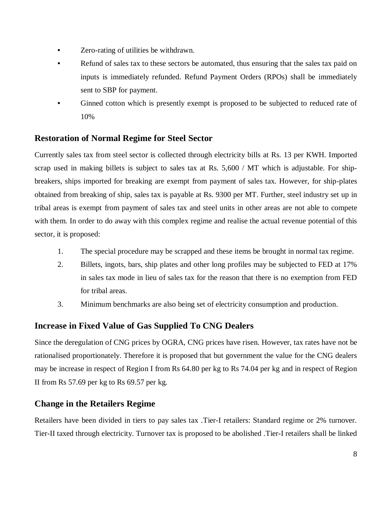- Zero-rating of utilities be withdrawn.
- Refund of sales tax to these sectors be automated, thus ensuring that the sales tax paid on inputs is immediately refunded. Refund Payment Orders (RPOs) shall be immediately sent to SBP for payment.
- Ginned cotton which is presently exempt is proposed to be subjected to reduced rate of 10%

# **Restoration of Normal Regime for Steel Sector**

Currently sales tax from steel sector is collected through electricity bills at Rs. 13 per KWH. Imported scrap used in making billets is subject to sales tax at Rs. 5,600 / MT which is adjustable. For shipbreakers, ships imported for breaking are exempt from payment of sales tax. However, for ship-plates obtained from breaking of ship, sales tax is payable at Rs. 9300 per MT. Further, steel industry set up in tribal areas is exempt from payment of sales tax and steel units in other areas are not able to compete with them. In order to do away with this complex regime and realise the actual revenue potential of this sector, it is proposed:

- 1. The special procedure may be scrapped and these items be brought in normal tax regime.
- 2. Billets, ingots, bars, ship plates and other long profiles may be subjected to FED at 17% in sales tax mode in lieu of sales tax for the reason that there is no exemption from FED for tribal areas.
- 3. Minimum benchmarks are also being set of electricity consumption and production.

# **Increase in Fixed Value of Gas Supplied To CNG Dealers**

Since the deregulation of CNG prices by OGRA, CNG prices have risen. However, tax rates have not be rationalised proportionately. Therefore it is proposed that but government the value for the CNG dealers may be increase in respect of Region I from Rs 64.80 per kg to Rs 74.04 per kg and in respect of Region II from Rs 57.69 per kg to Rs 69.57 per kg.

# **Change in the Retailers Regime**

Retailers have been divided in tiers to pay sales tax .Tier-I retailers: Standard regime or 2% turnover. Tier-II taxed through electricity. Turnover tax is proposed to be abolished .Tier-I retailers shall be linked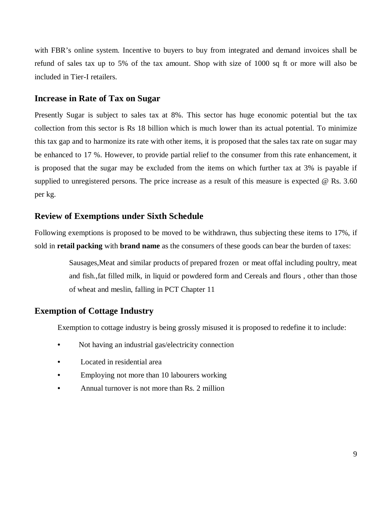with FBR's online system. Incentive to buyers to buy from integrated and demand invoices shall be refund of sales tax up to 5% of the tax amount. Shop with size of 1000 sq ft or more will also be included in Tier-I retailers.

#### **Increase in Rate of Tax on Sugar**

Presently Sugar is subject to sales tax at 8%. This sector has huge economic potential but the tax collection from this sector is Rs 18 billion which is much lower than its actual potential. To minimize this tax gap and to harmonize its rate with other items, it is proposed that the sales tax rate on sugar may be enhanced to 17 %. However, to provide partial relief to the consumer from this rate enhancement, it is proposed that the sugar may be excluded from the items on which further tax at 3% is payable if supplied to unregistered persons. The price increase as a result of this measure is expected @ Rs. 3.60 per kg.

#### **Review of Exemptions under Sixth Schedule**

Following exemptions is proposed to be moved to be withdrawn, thus subjecting these items to 17%, if sold in **retail packing** with **brand name** as the consumers of these goods can bear the burden of taxes:

> Sausages,Meat and similar products of prepared frozen or meat offal including poultry, meat and fish.,fat filled milk, in liquid or powdered form and Cereals and flours , other than those of wheat and meslin, falling in PCT Chapter 11

### **Exemption of Cottage Industry**

Exemption to cottage industry is being grossly misused it is proposed to redefine it to include:

- Not having an industrial gas/electricity connection
- Located in residential area
- Employing not more than 10 labourers working
- Annual turnover is not more than Rs. 2 million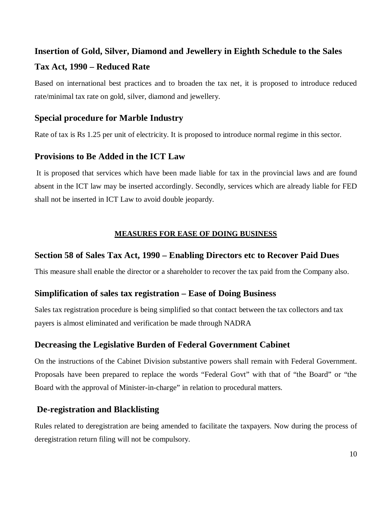# **Insertion of Gold, Silver, Diamond and Jewellery in Eighth Schedule to the Sales Tax Act, 1990 – Reduced Rate**

Based on international best practices and to broaden the tax net, it is proposed to introduce reduced rate/minimal tax rate on gold, silver, diamond and jewellery.

# **Special procedure for Marble Industry**

Rate of tax is Rs 1.25 per unit of electricity. It is proposed to introduce normal regime in this sector.

# **Provisions to Be Added in the ICT Law**

It is proposed that services which have been made liable for tax in the provincial laws and are found absent in the ICT law may be inserted accordingly. Secondly, services which are already liable for FED shall not be inserted in ICT Law to avoid double jeopardy.

# **MEASURES FOR EASE OF DOING BUSINESS**

# **Section 58 of Sales Tax Act, 1990 – Enabling Directors etc to Recover Paid Dues**

This measure shall enable the director or a shareholder to recover the tax paid from the Company also.

# **Simplification of sales tax registration – Ease of Doing Business**

Sales tax registration procedure is being simplified so that contact between the tax collectors and tax payers is almost eliminated and verification be made through NADRA

# **Decreasing the Legislative Burden of Federal Government Cabinet**

On the instructions of the Cabinet Division substantive powers shall remain with Federal Government. Proposals have been prepared to replace the words "Federal Govt" with that of "the Board" or "the Board with the approval of Minister-in-charge" in relation to procedural matters.

# **De-registration and Blacklisting**

Rules related to deregistration are being amended to facilitate the taxpayers. Now during the process of deregistration return filing will not be compulsory.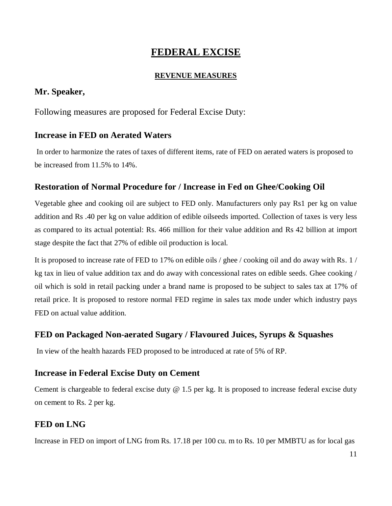# **FEDERAL EXCISE**

### **REVENUE MEASURES**

## **Mr. Speaker,**

Following measures are proposed for Federal Excise Duty:

# **Increase in FED on Aerated Waters**

In order to harmonize the rates of taxes of different items, rate of FED on aerated waters is proposed to be increased from 11.5% to 14%.

# **Restoration of Normal Procedure for / Increase in Fed on Ghee/Cooking Oil**

Vegetable ghee and cooking oil are subject to FED only. Manufacturers only pay Rs1 per kg on value addition and Rs .40 per kg on value addition of edible oilseeds imported. Collection of taxes is very less as compared to its actual potential: Rs. 466 million for their value addition and Rs 42 billion at import stage despite the fact that 27% of edible oil production is local.

It is proposed to increase rate of FED to 17% on edible oils / ghee / cooking oil and do away with Rs. 1 / kg tax in lieu of value addition tax and do away with concessional rates on edible seeds. Ghee cooking / oil which is sold in retail packing under a brand name is proposed to be subject to sales tax at 17% of retail price. It is proposed to restore normal FED regime in sales tax mode under which industry pays FED on actual value addition.

# **FED on Packaged Non-aerated Sugary / Flavoured Juices, Syrups & Squashes**

In view of the health hazards FED proposed to be introduced at rate of 5% of RP.

# **Increase in Federal Excise Duty on Cement**

Cement is chargeable to federal excise duty  $@ 1.5$  per kg. It is proposed to increase federal excise duty on cement to Rs. 2 per kg.

# **FED on LNG**

Increase in FED on import of LNG from Rs. 17.18 per 100 cu. m to Rs. 10 per MMBTU as for local gas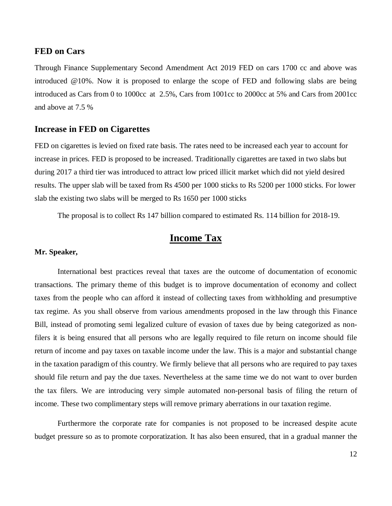#### **FED on Cars**

Through Finance Supplementary Second Amendment Act 2019 FED on cars 1700 cc and above was introduced [@10%.](mailto:@10%.) Now it is proposed to enlarge the scope of FED and following slabs are being introduced as Cars from 0 to 1000cc at 2.5%, Cars from 1001cc to 2000cc at 5% and Cars from 2001cc and above at 7.5 %

#### **Increase in FED on Cigarettes**

FED on cigarettes is levied on fixed rate basis. The rates need to be increased each year to account for increase in prices. FED is proposed to be increased. Traditionally cigarettes are taxed in two slabs but during 2017 a third tier was introduced to attract low priced illicit market which did not yield desired results. The upper slab will be taxed from Rs 4500 per 1000 sticks to Rs 5200 per 1000 sticks. For lower slab the existing two slabs will be merged to Rs 1650 per 1000 sticks

The proposal is to collect Rs 147 billion compared to estimated Rs. 114 billion for 2018-19.

# **Income Tax**

#### **Mr. Speaker,**

International best practices reveal that taxes are the outcome of documentation of economic transactions. The primary theme of this budget is to improve documentation of economy and collect taxes from the people who can afford it instead of collecting taxes from withholding and presumptive tax regime. As you shall observe from various amendments proposed in the law through this Finance Bill, instead of promoting semi legalized culture of evasion of taxes due by being categorized as nonfilers it is being ensured that all persons who are legally required to file return on income should file return of income and pay taxes on taxable income under the law. This is a major and substantial change in the taxation paradigm of this country. We firmly believe that all persons who are required to pay taxes should file return and pay the due taxes. Nevertheless at the same time we do not want to over burden the tax filers. We are introducing very simple automated non-personal basis of filing the return of income. These two complimentary steps will remove primary aberrations in our taxation regime.

Furthermore the corporate rate for companies is not proposed to be increased despite acute budget pressure so as to promote corporatization. It has also been ensured, that in a gradual manner the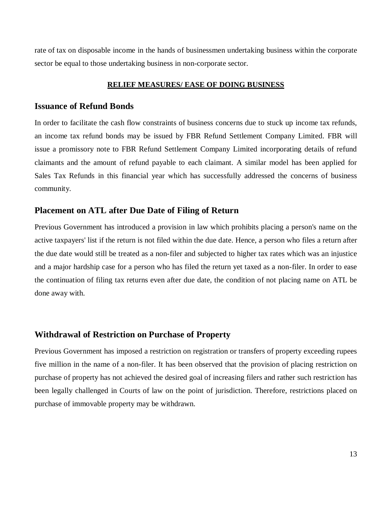rate of tax on disposable income in the hands of businessmen undertaking business within the corporate sector be equal to those undertaking business in non-corporate sector.

#### **RELIEF MEASURES/ EASE OF DOING BUSINESS**

#### **Issuance of Refund Bonds**

In order to facilitate the cash flow constraints of business concerns due to stuck up income tax refunds, an income tax refund bonds may be issued by FBR Refund Settlement Company Limited. FBR will issue a promissory note to FBR Refund Settlement Company Limited incorporating details of refund claimants and the amount of refund payable to each claimant. A similar model has been applied for Sales Tax Refunds in this financial year which has successfully addressed the concerns of business community.

#### **Placement on ATL after Due Date of Filing of Return**

Previous Government has introduced a provision in law which prohibits placing a person's name on the active taxpayers' list if the return is not filed within the due date. Hence, a person who files a return after the due date would still be treated as a non-filer and subjected to higher tax rates which was an injustice and a major hardship case for a person who has filed the return yet taxed as a non-filer. In order to ease the continuation of filing tax returns even after due date, the condition of not placing name on ATL be done away with.

#### **Withdrawal of Restriction on Purchase of Property**

Previous Government has imposed a restriction on registration or transfers of property exceeding rupees five million in the name of a non-filer. It has been observed that the provision of placing restriction on purchase of property has not achieved the desired goal of increasing filers and rather such restriction has been legally challenged in Courts of law on the point of jurisdiction. Therefore, restrictions placed on purchase of immovable property may be withdrawn.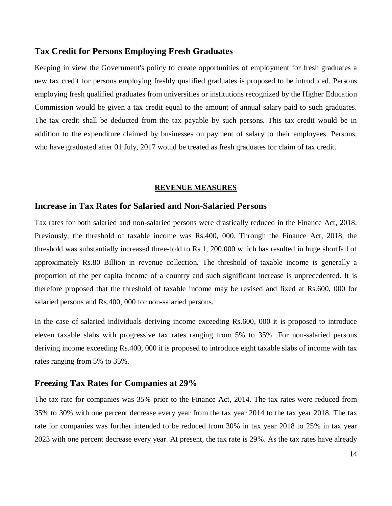#### **Tax Credit for Persons Employing Fresh Graduates**

Keeping in view the Government's policy to create opportunities of employment for fresh graduates a new tax credit for persons employing freshly qualified graduates is proposed to be introduced. Persons employing fresh qualified graduates from universities or institutions recognized by the Higher Education Commission would be given a tax credit equal to the amount of annual salary paid to such graduates. The tax credit shall be deducted from the tax payable by such persons. This tax credit would be in addition to the expenditure claimed by businesses on payment of salary to their employees. Persons, who have graduated after 01 July, 2017 would be treated as fresh graduates for claim of tax credit.

#### **REVENUE MEASURES**

#### **Increase in Tax Rates for Salaried and Non-Salaried Persons**

Tax rates for both salaried and non-salaried persons were drastically reduced in the Finance Act, 2018. Previously, the threshold of taxable income was Rs.400, 000. Through the Finance Act, 2018, the threshold was substantially increased three-fold to Rs.1, 200,000 which has resulted in huge shortfall of approximately Rs.80 Billion in revenue collection. The threshold of taxable income is generally a proportion of the per capita income of a country and such significant increase is unprecedented. It is therefore proposed that the threshold of taxable income may be revised and fixed at Rs.600, 000 for salaried persons and Rs.400, 000 for non-salaried persons.

In the case of salaried individuals deriving income exceeding Rs.600, 000 it is proposed to introduce eleven taxable slabs with progressive tax rates ranging from 5% to 35% .For non-salaried persons deriving income exceeding Rs.400, 000 it is proposed to introduce eight taxable slabs of income with tax rates ranging from 5% to 35%.

# **Freezing Tax Rates for Companies at 29%**

The tax rate for companies was 35% prior to the Finance Act, 2014. The tax rates were reduced from 35% to 30% with one percent decrease every year from the tax year 2014 to the tax year 2018. The tax rate for companies was further intended to be reduced from 30% in tax year 2018 to 25% in tax year 2023 with one percent decrease every year. At present, the tax rate is 29%. As the tax rates have already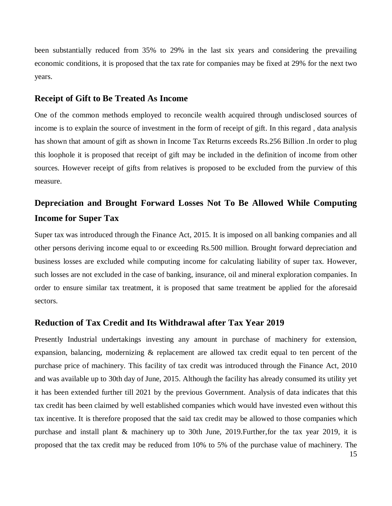been substantially reduced from 35% to 29% in the last six years and considering the prevailing economic conditions, it is proposed that the tax rate for companies may be fixed at 29% for the next two years.

#### **Receipt of Gift to Be Treated As Income**

One of the common methods employed to reconcile wealth acquired through undisclosed sources of income is to explain the source of investment in the form of receipt of gift. In this regard , data analysis has shown that amount of gift as shown in Income Tax Returns exceeds Rs.256 Billion .In order to plug this loophole it is proposed that receipt of gift may be included in the definition of income from other sources. However receipt of gifts from relatives is proposed to be excluded from the purview of this measure.

# **Depreciation and Brought Forward Losses Not To Be Allowed While Computing Income for Super Tax**

Super tax was introduced through the Finance Act, 2015. It is imposed on all banking companies and all other persons deriving income equal to or exceeding Rs.500 million. Brought forward depreciation and business losses are excluded while computing income for calculating liability of super tax. However, such losses are not excluded in the case of banking, insurance, oil and mineral exploration companies. In order to ensure similar tax treatment, it is proposed that same treatment be applied for the aforesaid sectors.

#### **Reduction of Tax Credit and Its Withdrawal after Tax Year 2019**

Presently Industrial undertakings investing any amount in purchase of machinery for extension, expansion, balancing, modernizing & replacement are allowed tax credit equal to ten percent of the purchase price of machinery. This facility of tax credit was introduced through the Finance Act, 2010 and was available up to 30th day of June, 2015. Although the facility has already consumed its utility yet it has been extended further till 2021 by the previous Government. Analysis of data indicates that this tax credit has been claimed by well established companies which would have invested even without this tax incentive. It is therefore proposed that the said tax credit may be allowed to those companies which purchase and install plant & machinery up to 30th June, 2019.Further,for the tax year 2019, it is proposed that the tax credit may be reduced from 10% to 5% of the purchase value of machinery. The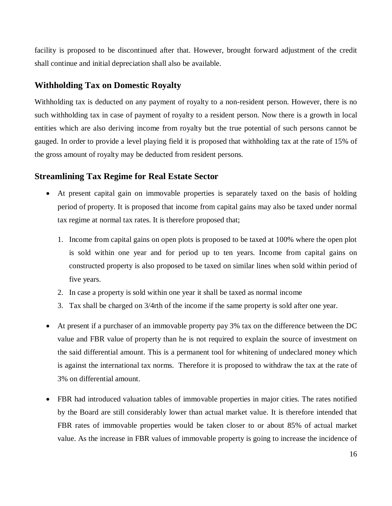facility is proposed to be discontinued after that. However, brought forward adjustment of the credit shall continue and initial depreciation shall also be available.

# **Withholding Tax on Domestic Royalty**

Withholding tax is deducted on any payment of royalty to a non-resident person. However, there is no such withholding tax in case of payment of royalty to a resident person. Now there is a growth in local entities which are also deriving income from royalty but the true potential of such persons cannot be gauged. In order to provide a level playing field it is proposed that withholding tax at the rate of 15% of the gross amount of royalty may be deducted from resident persons.

### **Streamlining Tax Regime for Real Estate Sector**

- At present capital gain on immovable properties is separately taxed on the basis of holding period of property. It is proposed that income from capital gains may also be taxed under normal tax regime at normal tax rates. It is therefore proposed that;
	- 1. Income from capital gains on open plots is proposed to be taxed at 100% where the open plot is sold within one year and for period up to ten years. Income from capital gains on constructed property is also proposed to be taxed on similar lines when sold within period of five years.
	- 2. In case a property is sold within one year it shall be taxed as normal income
	- 3. Tax shall be charged on 3/4rth of the income if the same property is sold after one year.
- At present if a purchaser of an immovable property pay 3% tax on the difference between the DC value and FBR value of property than he is not required to explain the source of investment on the said differential amount. This is a permanent tool for whitening of undeclared money which is against the international tax norms. Therefore it is proposed to withdraw the tax at the rate of 3% on differential amount.
- FBR had introduced valuation tables of immovable properties in major cities. The rates notified by the Board are still considerably lower than actual market value. It is therefore intended that FBR rates of immovable properties would be taken closer to or about 85% of actual market value. As the increase in FBR values of immovable property is going to increase the incidence of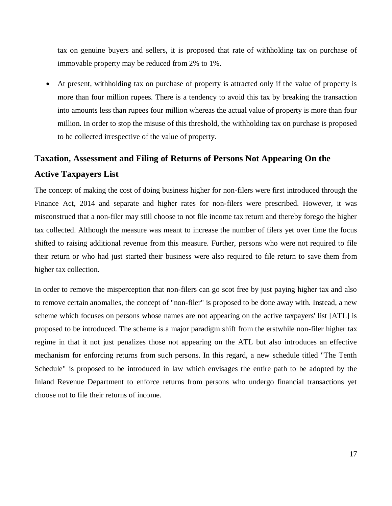tax on genuine buyers and sellers, it is proposed that rate of withholding tax on purchase of immovable property may be reduced from 2% to 1%.

 At present, withholding tax on purchase of property is attracted only if the value of property is more than four million rupees. There is a tendency to avoid this tax by breaking the transaction into amounts less than rupees four million whereas the actual value of property is more than four million. In order to stop the misuse of this threshold, the withholding tax on purchase is proposed to be collected irrespective of the value of property.

# **Taxation, Assessment and Filing of Returns of Persons Not Appearing On the Active Taxpayers List**

The concept of making the cost of doing business higher for non-filers were first introduced through the Finance Act, 2014 and separate and higher rates for non-filers were prescribed. However, it was misconstrued that a non-filer may still choose to not file income tax return and thereby forego the higher tax collected. Although the measure was meant to increase the number of filers yet over time the focus shifted to raising additional revenue from this measure. Further, persons who were not required to file their return or who had just started their business were also required to file return to save them from higher tax collection.

In order to remove the misperception that non-filers can go scot free by just paying higher tax and also to remove certain anomalies, the concept of "non-filer" is proposed to be done away with. Instead, a new scheme which focuses on persons whose names are not appearing on the active taxpayers' list [ATL] is proposed to be introduced. The scheme is a major paradigm shift from the erstwhile non-filer higher tax regime in that it not just penalizes those not appearing on the ATL but also introduces an effective mechanism for enforcing returns from such persons. In this regard, a new schedule titled "The Tenth Schedule" is proposed to be introduced in law which envisages the entire path to be adopted by the Inland Revenue Department to enforce returns from persons who undergo financial transactions yet choose not to file their returns of income.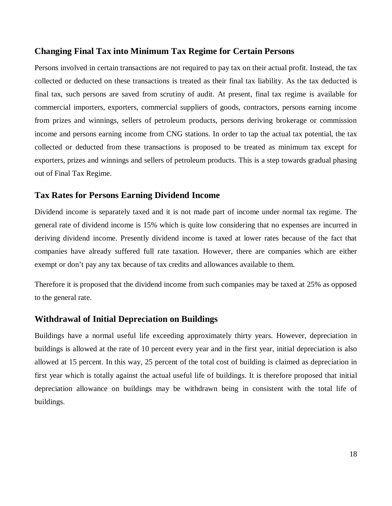### **Changing Final Tax into Minimum Tax Regime for Certain Persons**

Persons involved in certain transactions are not required to pay tax on their actual profit. Instead, the tax collected or deducted on these transactions is treated as their final tax liability. As the tax deducted is final tax, such persons are saved from scrutiny of audit. At present, final tax regime is available for commercial importers, exporters, commercial suppliers of goods, contractors, persons earning income from prizes and winnings, sellers of petroleum products, persons deriving brokerage or commission income and persons earning income from CNG stations. In order to tap the actual tax potential, the tax collected or deducted from these transactions is proposed to be treated as minimum tax except for exporters, prizes and winnings and sellers of petroleum products. This is a step towards gradual phasing out of Final Tax Regime.

#### **Tax Rates for Persons Earning Dividend Income**

Dividend income is separately taxed and it is not made part of income under normal tax regime. The general rate of dividend income is 15% which is quite low considering that no expenses are incurred in deriving dividend income. Presently dividend income is taxed at lower rates because of the fact that companies have already suffered full rate taxation. However, there are companies which are either exempt or don't pay any tax because of tax credits and allowances available to them.

Therefore it is proposed that the dividend income from such companies may be taxed at 25% as opposed to the general rate.

### **Withdrawal of Initial Depreciation on Buildings**

Buildings have a normal useful life exceeding approximately thirty years. However, depreciation in buildings is allowed at the rate of 10 percent every year and in the first year, initial depreciation is also allowed at 15 percent. In this way, 25 percent of the total cost of building is claimed as depreciation in first year which is totally against the actual useful life of buildings. It is therefore proposed that initial depreciation allowance on buildings may be withdrawn being in consistent with the total life of buildings.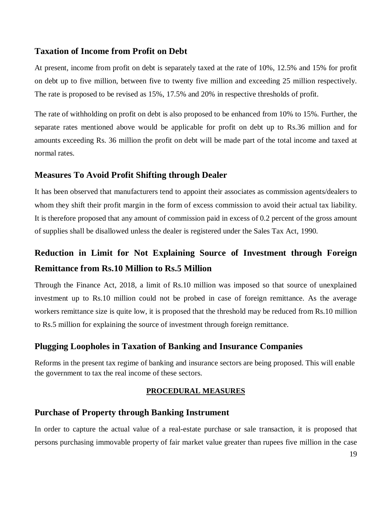### **Taxation of Income from Profit on Debt**

At present, income from profit on debt is separately taxed at the rate of 10%, 12.5% and 15% for profit on debt up to five million, between five to twenty five million and exceeding 25 million respectively. The rate is proposed to be revised as 15%, 17.5% and 20% in respective thresholds of profit.

The rate of withholding on profit on debt is also proposed to be enhanced from 10% to 15%. Further, the separate rates mentioned above would be applicable for profit on debt up to Rs.36 million and for amounts exceeding Rs. 36 million the profit on debt will be made part of the total income and taxed at normal rates.

# **Measures To Avoid Profit Shifting through Dealer**

It has been observed that manufacturers tend to appoint their associates as commission agents/dealers to whom they shift their profit margin in the form of excess commission to avoid their actual tax liability. It is therefore proposed that any amount of commission paid in excess of 0.2 percent of the gross amount of supplies shall be disallowed unless the dealer is registered under the Sales Tax Act, 1990.

# **Reduction in Limit for Not Explaining Source of Investment through Foreign Remittance from Rs.10 Million to Rs.5 Million**

Through the Finance Act, 2018, a limit of Rs.10 million was imposed so that source of unexplained investment up to Rs.10 million could not be probed in case of foreign remittance. As the average workers remittance size is quite low, it is proposed that the threshold may be reduced from Rs.10 million to Rs.5 million for explaining the source of investment through foreign remittance.

# **Plugging Loopholes in Taxation of Banking and Insurance Companies**

Reforms in the present tax regime of banking and insurance sectors are being proposed. This will enable the government to tax the real income of these sectors.

#### **PROCEDURAL MEASURES**

## **Purchase of Property through Banking Instrument**

In order to capture the actual value of a real-estate purchase or sale transaction, it is proposed that persons purchasing immovable property of fair market value greater than rupees five million in the case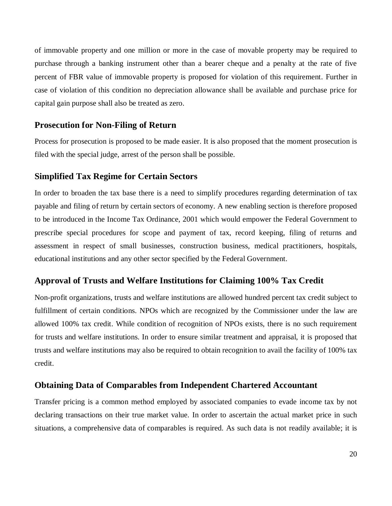of immovable property and one million or more in the case of movable property may be required to purchase through a banking instrument other than a bearer cheque and a penalty at the rate of five percent of FBR value of immovable property is proposed for violation of this requirement. Further in case of violation of this condition no depreciation allowance shall be available and purchase price for capital gain purpose shall also be treated as zero.

#### **Prosecution for Non-Filing of Return**

Process for prosecution is proposed to be made easier. It is also proposed that the moment prosecution is filed with the special judge, arrest of the person shall be possible.

#### **Simplified Tax Regime for Certain Sectors**

In order to broaden the tax base there is a need to simplify procedures regarding determination of tax payable and filing of return by certain sectors of economy. A new enabling section is therefore proposed to be introduced in the Income Tax Ordinance, 2001 which would empower the Federal Government to prescribe special procedures for scope and payment of tax, record keeping, filing of returns and assessment in respect of small businesses, construction business, medical practitioners, hospitals, educational institutions and any other sector specified by the Federal Government.

#### **Approval of Trusts and Welfare Institutions for Claiming 100% Tax Credit**

Non-profit organizations, trusts and welfare institutions are allowed hundred percent tax credit subject to fulfillment of certain conditions. NPOs which are recognized by the Commissioner under the law are allowed 100% tax credit. While condition of recognition of NPOs exists, there is no such requirement for trusts and welfare institutions. In order to ensure similar treatment and appraisal, it is proposed that trusts and welfare institutions may also be required to obtain recognition to avail the facility of 100% tax credit.

#### **Obtaining Data of Comparables from Independent Chartered Accountant**

Transfer pricing is a common method employed by associated companies to evade income tax by not declaring transactions on their true market value. In order to ascertain the actual market price in such situations, a comprehensive data of comparables is required. As such data is not readily available; it is